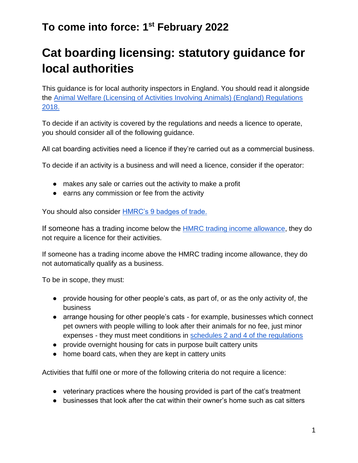# **Cat boarding licensing: statutory guidance for local authorities**

This guidance is for local authority inspectors in England. You should read it alongside the [Animal Welfare \(Licensing of Activities Involving Animals\) \(England\) Regulations](https://www.legislation.gov.uk/uksi/2018/486/schedule/4/made)  [2018.](https://www.legislation.gov.uk/uksi/2018/486/schedule/4/made)

To decide if an activity is covered by the regulations and needs a licence to operate, you should consider all of the following guidance.

All cat boarding activities need a licence if they're carried out as a commercial business.

To decide if an activity is a business and will need a licence, consider if the operator:

- makes any sale or carries out the activity to make a profit
- earns any commission or fee from the activity

You should also consider [HMRC's 9 badges of trade.](https://www.gov.uk/hmrc-internal-manuals/business-income-manual/bim20205)

If someone has a trading income below th[e](https://www.gov.uk/guidance/tax-free-allowances-on-property-and-trading-income#trade) [HMRC trading income allowance,](https://www.gov.uk/guidance/tax-free-allowances-on-property-and-trading-income#trade) they do not require a licence for their activities.

If someone has a trading income above the HMRC trading income allowance, they do not automatically qualify as a business.

To be in scope, they must:

- provide housing for other people's cats, as part of, or as the only activity of, the business
- arrange housing for other people's cats for example, businesses which connect pet owners with people willing to look after their animals for no fee, just minor expenses - they must meet conditions in [schedules 2 and 4 of the regulations](https://www.legislation.gov.uk/uksi/2018/486/schedule/2/made)
- provide overnight housing for cats in purpose built cattery units
- home board cats, when they are kept in cattery units

Activities that fulfil one or more of the following criteria do not require a licence:

- veterinary practices where the housing provided is part of the cat's treatment
- businesses that look after the cat within their owner's home such as cat sitters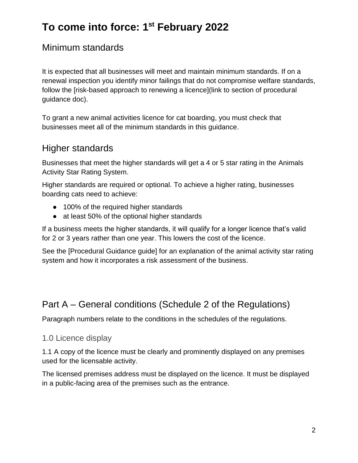### Minimum standards

It is expected that all businesses will meet and maintain minimum standards. If on a renewal inspection you identify minor failings that do not compromise welfare standards, follow the [risk-based approach to renewing a licence](link to section of procedural guidance doc).

To grant a new animal activities licence for cat boarding, you must check that businesses meet all of the minimum standards in this guidance.

### Higher standards

Businesses that meet the higher standards will get a 4 or 5 star rating in the Animals Activity Star Rating System.

Higher standards are required or optional. To achieve a higher rating, businesses boarding cats need to achieve:

- 100% of the required higher standards
- at least 50% of the optional higher standards

If a business meets the higher standards, it will qualify for a longer licence that's valid for 2 or 3 years rather than one year. This lowers the cost of the licence.

See the [Procedural Guidance guide] for an explanation of the animal activity star rating system and how it incorporates a risk assessment of the business.

### Part A – General conditions (Schedule 2 of the Regulations)

Paragraph numbers relate to the conditions in the schedules of the regulations.

#### 1.0 Licence display

1.1 A copy of the licence must be clearly and prominently displayed on any premises used for the licensable activity.

The licensed premises address must be displayed on the licence. It must be displayed in a public-facing area of the premises such as the entrance.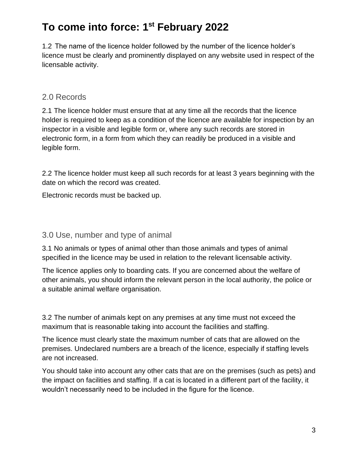1.2 The name of the licence holder followed by the number of the licence holder's licence must be clearly and prominently displayed on any website used in respect of the licensable activity.

### 2.0 Records

2.1 The licence holder must ensure that at any time all the records that the licence holder is required to keep as a condition of the licence are available for inspection by an inspector in a visible and legible form or, where any such records are stored in electronic form, in a form from which they can readily be produced in a visible and legible form.

2.2 The licence holder must keep all such records for at least 3 years beginning with the date on which the record was created.

Electronic records must be backed up.

#### 3.0 Use, number and type of animal

3.1 No animals or types of animal other than those animals and types of animal specified in the licence may be used in relation to the relevant licensable activity.

The licence applies only to boarding cats. If you are concerned about the welfare of other animals, you should inform the relevant person in the local authority, the police or a suitable animal welfare organisation.

3.2 The number of animals kept on any premises at any time must not exceed the maximum that is reasonable taking into account the facilities and staffing.

The licence must clearly state the maximum number of cats that are allowed on the premises. Undeclared numbers are a breach of the licence, especially if staffing levels are not increased.

You should take into account any other cats that are on the premises (such as pets) and the impact on facilities and staffing. If a cat is located in a different part of the facility, it wouldn't necessarily need to be included in the figure for the licence.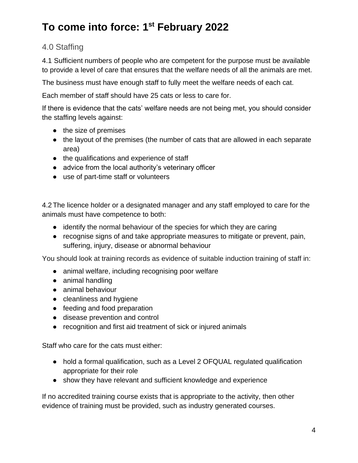### 4.0 Staffing

4.1 Sufficient numbers of people who are competent for the purpose must be available to provide a level of care that ensures that the welfare needs of all the animals are met.

The business must have enough staff to fully meet the welfare needs of each cat.

Each member of staff should have 25 cats or less to care for.

If there is evidence that the cats' welfare needs are not being met, you should consider the staffing levels against:

- the size of premises
- the layout of the premises (the number of cats that are allowed in each separate area)
- the qualifications and experience of staff
- advice from the local authority's veterinary officer
- use of part-time staff or volunteers

4.2 The licence holder or a designated manager and any staff employed to care for the animals must have competence to both:

- identify the normal behaviour of the species for which they are caring
- recognise signs of and take appropriate measures to mitigate or prevent, pain, suffering, injury, disease or abnormal behaviour

You should look at training records as evidence of suitable induction training of staff in:

- animal welfare, including recognising poor welfare
- animal handling
- animal behaviour
- cleanliness and hygiene
- feeding and food preparation
- disease prevention and control
- recognition and first aid treatment of sick or injured animals

Staff who care for the cats must either:

- hold a formal qualification, such as a Level 2 OFQUAL regulated qualification appropriate for their role
- show they have relevant and sufficient knowledge and experience

If no accredited training course exists that is appropriate to the activity, then other evidence of training must be provided, such as industry generated courses.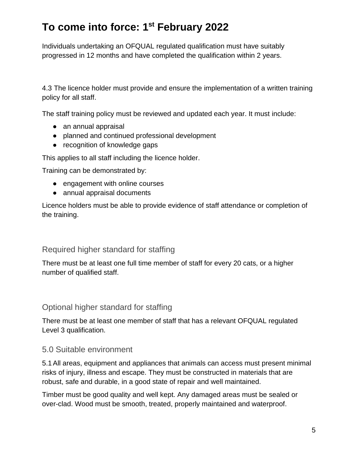Individuals undertaking an OFQUAL regulated qualification must have suitably progressed in 12 months and have completed the qualification within 2 years.

4.3 The licence holder must provide and ensure the implementation of a written training policy for all staff.

The staff training policy must be reviewed and updated each year. It must include:

- an annual appraisal
- planned and continued professional development
- recognition of knowledge gaps

This applies to all staff including the licence holder.

Training can be demonstrated by:

- engagement with online courses
- annual appraisal documents

Licence holders must be able to provide evidence of staff attendance or completion of the training.

#### Required higher standard for staffing

There must be at least one full time member of staff for every 20 cats, or a higher number of qualified staff.

#### Optional higher standard for staffing

There must be at least one member of staff that has a relevant OFQUAL regulated Level 3 qualification.

#### 5.0 Suitable environment

5.1All areas, equipment and appliances that animals can access must present minimal risks of injury, illness and escape. They must be constructed in materials that are robust, safe and durable, in a good state of repair and well maintained.

Timber must be good quality and well kept. Any damaged areas must be sealed or over-clad. Wood must be smooth, treated, properly maintained and waterproof.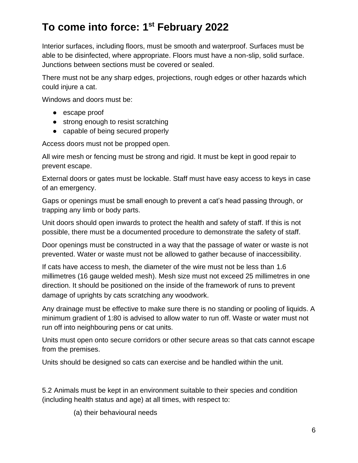Interior surfaces, including floors, must be smooth and waterproof. Surfaces must be able to be disinfected, where appropriate. Floors must have a non-slip, solid surface. Junctions between sections must be covered or sealed.

There must not be any sharp edges, projections, rough edges or other hazards which could injure a cat.

Windows and doors must be:

- escape proof
- strong enough to resist scratching
- capable of being secured properly

Access doors must not be propped open.

All wire mesh or fencing must be strong and rigid. It must be kept in good repair to prevent escape.

External doors or gates must be lockable. Staff must have easy access to keys in case of an emergency.

Gaps or openings must be small enough to prevent a cat's head passing through, or trapping any limb or body parts.

Unit doors should open inwards to protect the health and safety of staff. If this is not possible, there must be a documented procedure to demonstrate the safety of staff.

Door openings must be constructed in a way that the passage of water or waste is not prevented. Water or waste must not be allowed to gather because of inaccessibility.

If cats have access to mesh, the diameter of the wire must not be less than 1.6 millimetres (16 gauge welded mesh). Mesh size must not exceed 25 millimetres in one direction. It should be positioned on the inside of the framework of runs to prevent damage of uprights by cats scratching any woodwork.

Any drainage must be effective to make sure there is no standing or pooling of liquids. A minimum gradient of 1:80 is advised to allow water to run off. Waste or water must not run off into neighbouring pens or cat units.

Units must open onto secure corridors or other secure areas so that cats cannot escape from the premises.

Units should be designed so cats can exercise and be handled within the unit.

5.2 Animals must be kept in an environment suitable to their species and condition (including health status and age) at all times, with respect to:

(a) their behavioural needs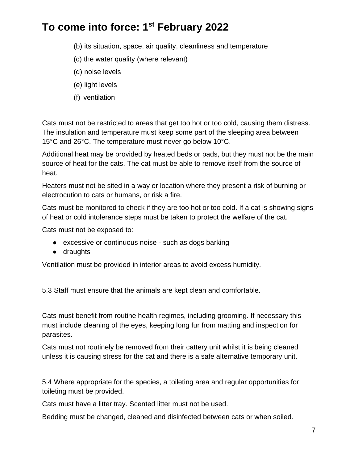- (b) its situation, space, air quality, cleanliness and temperature
- (c) the water quality (where relevant)
- (d) noise levels
- (e) light levels
- (f) ventilation

Cats must not be restricted to areas that get too hot or too cold, causing them distress. The insulation and temperature must keep some part of the sleeping area between 15°C and 26°C. The temperature must never go below 10°C.

Additional heat may be provided by heated beds or pads, but they must not be the main source of heat for the cats. The cat must be able to remove itself from the source of heat.

Heaters must not be sited in a way or location where they present a risk of burning or electrocution to cats or humans, or risk a fire.

Cats must be monitored to check if they are too hot or too cold. If a cat is showing signs of heat or cold intolerance steps must be taken to protect the welfare of the cat.

Cats must not be exposed to:

- excessive or continuous noise such as dogs barking
- draughts

Ventilation must be provided in interior areas to avoid excess humidity.

5.3 Staff must ensure that the animals are kept clean and comfortable.

Cats must benefit from routine health regimes, including grooming. If necessary this must include cleaning of the eyes, keeping long fur from matting and inspection for parasites.

Cats must not routinely be removed from their cattery unit whilst it is being cleaned unless it is causing stress for the cat and there is a safe alternative temporary unit.

5.4 Where appropriate for the species, a toileting area and regular opportunities for toileting must be provided.

Cats must have a litter tray. Scented litter must not be used.

Bedding must be changed, cleaned and disinfected between cats or when soiled.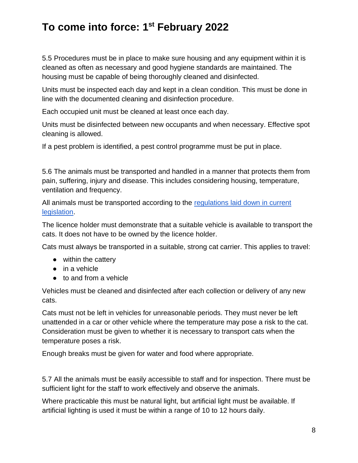5.5 Procedures must be in place to make sure housing and any equipment within it is cleaned as often as necessary and good hygiene standards are maintained. The housing must be capable of being thoroughly cleaned and disinfected.

Units must be inspected each day and kept in a clean condition. This must be done in line with the documented cleaning and disinfection procedure.

Each occupied unit must be cleaned at least once each day.

Units must be disinfected between new occupants and when necessary. Effective spot cleaning is allowed.

If a pest problem is identified, a pest control programme must be put in place.

5.6 The animals must be transported and handled in a manner that protects them from pain, suffering, injury and disease. This includes considering housing, temperature, ventilation and frequency.

All animals must be transported according to the [regulations laid down in current](https://www.legislation.gov.uk/uksi/2006/3260/contents/made)  [legislation.](https://www.legislation.gov.uk/uksi/2006/3260/contents/made)

The licence holder must demonstrate that a suitable vehicle is available to transport the cats. It does not have to be owned by the licence holder.

Cats must always be transported in a suitable, strong cat carrier. This applies to travel:

- within the cattery
- in a vehicle
- to and from a vehicle

Vehicles must be cleaned and disinfected after each collection or delivery of any new cats.

Cats must not be left in vehicles for unreasonable periods. They must never be left unattended in a car or other vehicle where the temperature may pose a risk to the cat. Consideration must be given to whether it is necessary to transport cats when the temperature poses a risk.

Enough breaks must be given for water and food where appropriate.

5.7 All the animals must be easily accessible to staff and for inspection. There must be sufficient light for the staff to work effectively and observe the animals.

Where practicable this must be natural light, but artificial light must be available. If artificial lighting is used it must be within a range of 10 to 12 hours daily.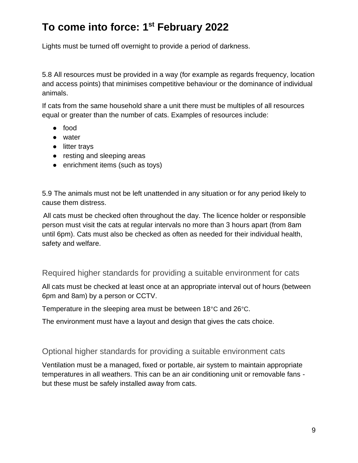Lights must be turned off overnight to provide a period of darkness.

5.8 All resources must be provided in a way (for example as regards frequency, location and access points) that minimises competitive behaviour or the dominance of individual animals.

If cats from the same household share a unit there must be multiples of all resources equal or greater than the number of cats. Examples of resources include:

- food
- water
- litter trays
- resting and sleeping areas
- enrichment items (such as toys)

5.9 The animals must not be left unattended in any situation or for any period likely to cause them distress.

All cats must be checked often throughout the day. The licence holder or responsible person must visit the cats at regular intervals no more than 3 hours apart (from 8am until 6pm). Cats must also be checked as often as needed for their individual health, safety and welfare.

Required higher standards for providing a suitable environment for cats

All cats must be checked at least once at an appropriate interval out of hours (between 6pm and 8am) by a person or CCTV.

Temperature in the sleeping area must be between 18°C and 26°C.

The environment must have a layout and design that gives the cats choice.

#### Optional higher standards for providing a suitable environment cats

Ventilation must be a managed, fixed or portable, air system to maintain appropriate temperatures in all weathers. This can be an air conditioning unit or removable fans but these must be safely installed away from cats.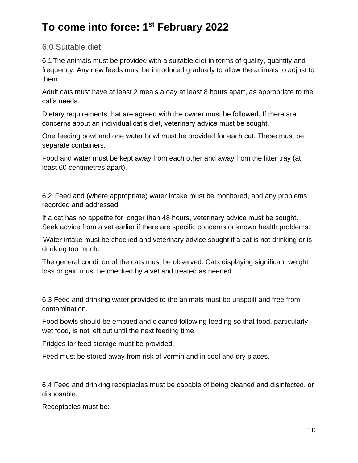#### 6.0 Suitable diet

6.1 The animals must be provided with a suitable diet in terms of quality, quantity and frequency. Any new feeds must be introduced gradually to allow the animals to adjust to them.

Adult cats must have at least 2 meals a day at least 8 hours apart, as appropriate to the cat's needs.

Dietary requirements that are agreed with the owner must be followed. If there are concerns about an individual cat's diet, veterinary advice must be sought.

One feeding bowl and one water bowl must be provided for each cat. These must be separate containers.

Food and water must be kept away from each other and away from the litter tray (at least 60 centimetres apart).

6.2 Feed and (where appropriate) water intake must be monitored, and any problems recorded and addressed.

If a cat has no appetite for longer than 48 hours, veterinary advice must be sought. Seek advice from a vet earlier if there are specific concerns or known health problems.

Water intake must be checked and veterinary advice sought if a cat is not drinking or is drinking too much.

The general condition of the cats must be observed. Cats displaying significant weight loss or gain must be checked by a vet and treated as needed.

6.3 Feed and drinking water provided to the animals must be unspoilt and free from contamination.

Food bowls should be emptied and cleaned following feeding so that food, particularly wet food, is not left out until the next feeding time.

Fridges for feed storage must be provided.

Feed must be stored away from risk of vermin and in cool and dry places.

6.4 Feed and drinking receptacles must be capable of being cleaned and disinfected, or disposable.

Receptacles must be: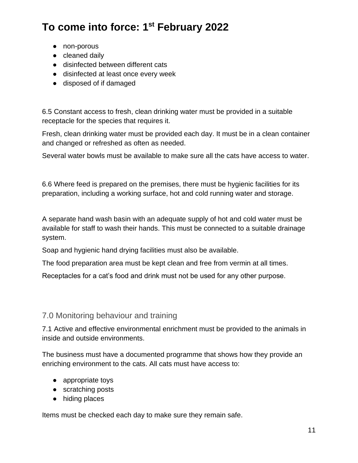- non-porous
- cleaned daily
- disinfected between different cats
- disinfected at least once every week
- disposed of if damaged

6.5 Constant access to fresh, clean drinking water must be provided in a suitable receptacle for the species that requires it.

Fresh, clean drinking water must be provided each day. It must be in a clean container and changed or refreshed as often as needed.

Several water bowls must be available to make sure all the cats have access to water.

6.6 Where feed is prepared on the premises, there must be hygienic facilities for its preparation, including a working surface, hot and cold running water and storage.

A separate hand wash basin with an adequate supply of hot and cold water must be available for staff to wash their hands. This must be connected to a suitable drainage system.

Soap and hygienic hand drying facilities must also be available.

The food preparation area must be kept clean and free from vermin at all times.

Receptacles for a cat's food and drink must not be used for any other purpose.

#### 7.0 Monitoring behaviour and training

7.1 Active and effective environmental enrichment must be provided to the animals in inside and outside environments.

The business must have a documented programme that shows how they provide an enriching environment to the cats. All cats must have access to:

- appropriate toys
- scratching posts
- hiding places

Items must be checked each day to make sure they remain safe.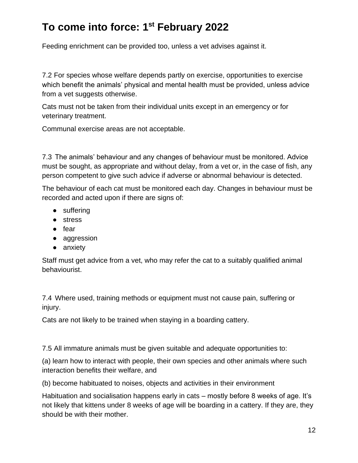Feeding enrichment can be provided too, unless a vet advises against it.

7.2 For species whose welfare depends partly on exercise, opportunities to exercise which benefit the animals' physical and mental health must be provided, unless advice from a vet suggests otherwise.

Cats must not be taken from their individual units except in an emergency or for veterinary treatment.

Communal exercise areas are not acceptable.

7.3 The animals' behaviour and any changes of behaviour must be monitored. Advice must be sought, as appropriate and without delay, from a vet or, in the case of fish, any person competent to give such advice if adverse or abnormal behaviour is detected.

The behaviour of each cat must be monitored each day. Changes in behaviour must be recorded and acted upon if there are signs of:

- suffering
- stress
- fear
- aggression
- anxiety

Staff must get advice from a vet, who may refer the cat to a suitably qualified animal behaviourist.

7.4 Where used, training methods or equipment must not cause pain, suffering or injury.

Cats are not likely to be trained when staying in a boarding cattery.

7.5 All immature animals must be given suitable and adequate opportunities to:

(a) learn how to interact with people, their own species and other animals where such interaction benefits their welfare, and

(b) become habituated to noises, objects and activities in their environment

Habituation and socialisation happens early in cats – mostly before 8 weeks of age. It's not likely that kittens under 8 weeks of age will be boarding in a cattery. If they are, they should be with their mother.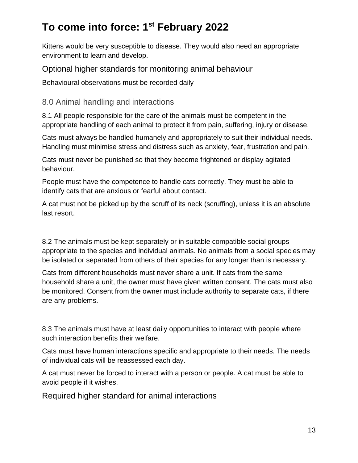Kittens would be very susceptible to disease. They would also need an appropriate environment to learn and develop.

Optional higher standards for monitoring animal behaviour

Behavioural observations must be recorded daily

#### 8.0 Animal handling and interactions

8.1 All people responsible for the care of the animals must be competent in the appropriate handling of each animal to protect it from pain, suffering, injury or disease.

Cats must always be handled humanely and appropriately to suit their individual needs. Handling must minimise stress and distress such as anxiety, fear, frustration and pain.

Cats must never be punished so that they become frightened or display agitated behaviour.

People must have the competence to handle cats correctly. They must be able to identify cats that are anxious or fearful about contact.

A cat must not be picked up by the scruff of its neck (scruffing), unless it is an absolute last resort.

8.2 The animals must be kept separately or in suitable compatible social groups appropriate to the species and individual animals. No animals from a social species may be isolated or separated from others of their species for any longer than is necessary.

Cats from different households must never share a unit. If cats from the same household share a unit, the owner must have given written consent. The cats must also be monitored. Consent from the owner must include authority to separate cats, if there are any problems.

8.3 The animals must have at least daily opportunities to interact with people where such interaction benefits their welfare.

Cats must have human interactions specific and appropriate to their needs. The needs of individual cats will be reassessed each day.

A cat must never be forced to interact with a person or people. A cat must be able to avoid people if it wishes.

Required higher standard for animal interactions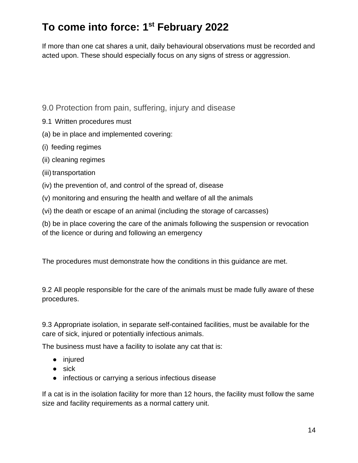If more than one cat shares a unit, daily behavioural observations must be recorded and acted upon. These should especially focus on any signs of stress or aggression.

- 9.0 Protection from pain, suffering, injury and disease
- 9.1 Written procedures must
- (a) be in place and implemented covering:
- (i) feeding regimes
- (ii) cleaning regimes
- (iii) transportation
- (iv) the prevention of, and control of the spread of, disease
- (v) monitoring and ensuring the health and welfare of all the animals
- (vi) the death or escape of an animal (including the storage of carcasses)

(b) be in place covering the care of the animals following the suspension or revocation of the licence or during and following an emergency

The procedures must demonstrate how the conditions in this guidance are met.

9.2 All people responsible for the care of the animals must be made fully aware of these procedures.

9.3 Appropriate isolation, in separate self-contained facilities, must be available for the care of sick, injured or potentially infectious animals.

The business must have a facility to isolate any cat that is:

- injured
- $\bullet$  sick
- infectious or carrying a serious infectious disease

If a cat is in the isolation facility for more than 12 hours, the facility must follow the same size and facility requirements as a normal cattery unit.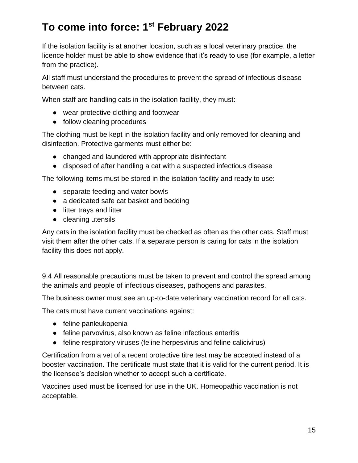If the isolation facility is at another location, such as a local veterinary practice, the licence holder must be able to show evidence that it's ready to use (for example, a letter from the practice).

All staff must understand the procedures to prevent the spread of infectious disease between cats.

When staff are handling cats in the isolation facility, they must:

- wear protective clothing and footwear
- follow cleaning procedures

The clothing must be kept in the isolation facility and only removed for cleaning and disinfection. Protective garments must either be:

- changed and laundered with appropriate disinfectant
- disposed of after handling a cat with a suspected infectious disease

The following items must be stored in the isolation facility and ready to use:

- separate feeding and water bowls
- a dedicated safe cat basket and bedding
- litter trays and litter
- cleaning utensils

Any cats in the isolation facility must be checked as often as the other cats. Staff must visit them after the other cats. If a separate person is caring for cats in the isolation facility this does not apply.

9.4 All reasonable precautions must be taken to prevent and control the spread among the animals and people of infectious diseases, pathogens and parasites.

The business owner must see an up-to-date veterinary vaccination record for all cats.

The cats must have current vaccinations against:

- feline panleukopenia
- feline parvovirus, also known as feline infectious enteritis
- feline respiratory viruses (feline herpesvirus and feline calicivirus)

Certification from a vet of a recent protective titre test may be accepted instead of a booster vaccination. The certificate must state that it is valid for the current period. It is the licensee's decision whether to accept such a certificate.

Vaccines used must be licensed for use in the UK. Homeopathic vaccination is not acceptable.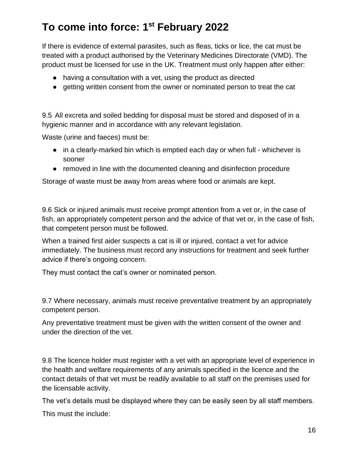If there is evidence of external parasites, such as fleas, ticks or lice, the cat must be treated with a product authorised by the Veterinary Medicines Directorate (VMD). The product must be licensed for use in the UK. Treatment must only happen after either:

- having a consultation with a vet, using the product as directed
- getting written consent from the owner or nominated person to treat the cat

9.5 All excreta and soiled bedding for disposal must be stored and disposed of in a hygienic manner and in accordance with any relevant legislation.

Waste (urine and faeces) must be:

- in a clearly-marked bin which is emptied each day or when full whichever is sooner
- removed in line with the documented cleaning and disinfection procedure

Storage of waste must be away from areas where food or animals are kept.

9.6 Sick or injured animals must receive prompt attention from a vet or, in the case of fish, an appropriately competent person and the advice of that vet or, in the case of fish, that competent person must be followed.

When a trained first aider suspects a cat is ill or injured, contact a vet for advice immediately. The business must record any instructions for treatment and seek further advice if there's ongoing concern.

They must contact the cat's owner or nominated person.

9.7 Where necessary, animals must receive preventative treatment by an appropriately competent person.

Any preventative treatment must be given with the written consent of the owner and under the direction of the vet.

9.8 The licence holder must register with a vet with an appropriate level of experience in the health and welfare requirements of any animals specified in the licence and the contact details of that vet must be readily available to all staff on the premises used for the licensable activity.

The vet's details must be displayed where they can be easily seen by all staff members. This must the include: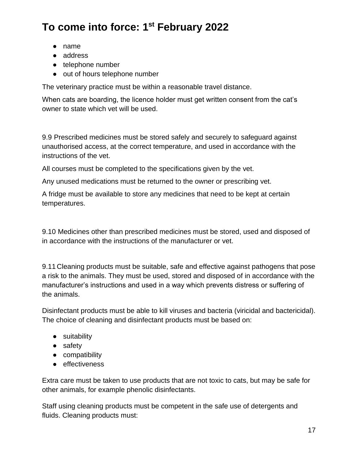- name
- address
- telephone number
- out of hours telephone number

The veterinary practice must be within a reasonable travel distance.

When cats are boarding, the licence holder must get written consent from the cat's owner to state which vet will be used.

9.9 Prescribed medicines must be stored safely and securely to safeguard against unauthorised access, at the correct temperature, and used in accordance with the instructions of the vet.

All courses must be completed to the specifications given by the vet.

Any unused medications must be returned to the owner or prescribing vet.

A fridge must be available to store any medicines that need to be kept at certain temperatures.

9.10 Medicines other than prescribed medicines must be stored, used and disposed of in accordance with the instructions of the manufacturer or vet.

9.11 Cleaning products must be suitable, safe and effective against pathogens that pose a risk to the animals. They must be used, stored and disposed of in accordance with the manufacturer's instructions and used in a way which prevents distress or suffering of the animals.

Disinfectant products must be able to kill viruses and bacteria (viricidal and bactericidal). The choice of cleaning and disinfectant products must be based on:

- suitability
- safety
- compatibility
- effectiveness

Extra care must be taken to use products that are not toxic to cats, but may be safe for other animals, for example phenolic disinfectants.

Staff using cleaning products must be competent in the safe use of detergents and fluids. Cleaning products must: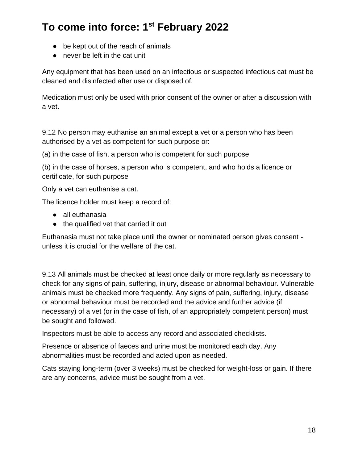- be kept out of the reach of animals
- never be left in the cat unit

Any equipment that has been used on an infectious or suspected infectious cat must be cleaned and disinfected after use or disposed of.

Medication must only be used with prior consent of the owner or after a discussion with a vet.

9.12 No person may euthanise an animal except a vet or a person who has been authorised by a vet as competent for such purpose or:

(a) in the case of fish, a person who is competent for such purpose

(b) in the case of horses, a person who is competent, and who holds a licence or certificate, for such purpose

Only a vet can euthanise a cat.

The licence holder must keep a record of:

- all euthanasia
- the qualified vet that carried it out

Euthanasia must not take place until the owner or nominated person gives consent unless it is crucial for the welfare of the cat.

9.13 All animals must be checked at least once daily or more regularly as necessary to check for any signs of pain, suffering, injury, disease or abnormal behaviour. Vulnerable animals must be checked more frequently. Any signs of pain, suffering, injury, disease or abnormal behaviour must be recorded and the advice and further advice (if necessary) of a vet (or in the case of fish, of an appropriately competent person) must be sought and followed.

Inspectors must be able to access any record and associated checklists.

Presence or absence of faeces and urine must be monitored each day. Any abnormalities must be recorded and acted upon as needed.

Cats staying long-term (over 3 weeks) must be checked for weight-loss or gain. If there are any concerns, advice must be sought from a vet.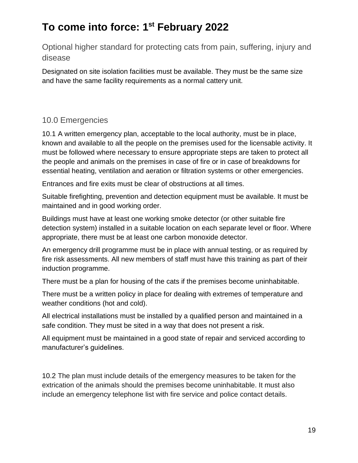Optional higher standard for protecting cats from pain, suffering, injury and disease

Designated on site isolation facilities must be available. They must be the same size and have the same facility requirements as a normal cattery unit.

### 10.0 Emergencies

10.1 A written emergency plan, acceptable to the local authority, must be in place, known and available to all the people on the premises used for the licensable activity. It must be followed where necessary to ensure appropriate steps are taken to protect all the people and animals on the premises in case of fire or in case of breakdowns for essential heating, ventilation and aeration or filtration systems or other emergencies.

Entrances and fire exits must be clear of obstructions at all times.

Suitable firefighting, prevention and detection equipment must be available. It must be maintained and in good working order.

Buildings must have at least one working smoke detector (or other suitable fire detection system) installed in a suitable location on each separate level or floor. Where appropriate, there must be at least one carbon monoxide detector.

An emergency drill programme must be in place with annual testing, or as required by fire risk assessments. All new members of staff must have this training as part of their induction programme.

There must be a plan for housing of the cats if the premises become uninhabitable.

There must be a written policy in place for dealing with extremes of temperature and weather conditions (hot and cold).

All electrical installations must be installed by a qualified person and maintained in a safe condition. They must be sited in a way that does not present a risk.

All equipment must be maintained in a good state of repair and serviced according to manufacturer's guidelines.

10.2 The plan must include details of the emergency measures to be taken for the extrication of the animals should the premises become uninhabitable. It must also include an emergency telephone list with fire service and police contact details.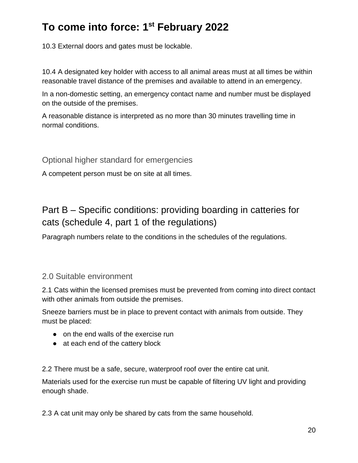10.3 External doors and gates must be lockable.

10.4 A designated key holder with access to all animal areas must at all times be within reasonable travel distance of the premises and available to attend in an emergency.

In a non-domestic setting, an emergency contact name and number must be displayed on the outside of the premises.

A reasonable distance is interpreted as no more than 30 minutes travelling time in normal conditions.

Optional higher standard for emergencies

A competent person must be on site at all times.

### Part B – Specific conditions: providing boarding in catteries for cats (schedule 4, part 1 of the regulations)

Paragraph numbers relate to the conditions in the schedules of the regulations.

#### 2.0 Suitable environment

2.1 Cats within the licensed premises must be prevented from coming into direct contact with other animals from outside the premises.

Sneeze barriers must be in place to prevent contact with animals from outside. They must be placed:

- on the end walls of the exercise run
- at each end of the cattery block

2.2 There must be a safe, secure, waterproof roof over the entire cat unit.

Materials used for the exercise run must be capable of filtering UV light and providing enough shade.

2.3 A cat unit may only be shared by cats from the same household.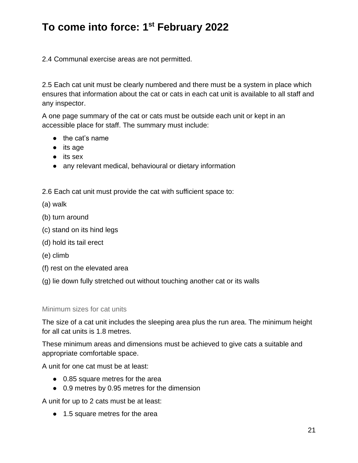2.4 Communal exercise areas are not permitted.

2.5 Each cat unit must be clearly numbered and there must be a system in place which ensures that information about the cat or cats in each cat unit is available to all staff and any inspector.

A one page summary of the cat or cats must be outside each unit or kept in an accessible place for staff. The summary must include:

- the cat's name
- its age
- its sex
- any relevant medical, behavioural or dietary information

2.6 Each cat unit must provide the cat with sufficient space to:

- (a) walk
- (b) turn around
- (c) stand on its hind legs
- (d) hold its tail erect
- (e) climb
- (f) rest on the elevated area
- (g) lie down fully stretched out without touching another cat or its walls

#### Minimum sizes for cat units

The size of a cat unit includes the sleeping area plus the run area. The minimum height for all cat units is 1.8 metres.

These minimum areas and dimensions must be achieved to give cats a suitable and appropriate comfortable space.

A unit for one cat must be at least:

- 0.85 square metres for the area
- 0.9 metres by 0.95 metres for the dimension

A unit for up to 2 cats must be at least:

● 1.5 square metres for the area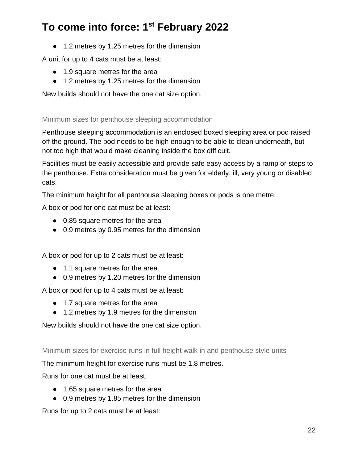● 1.2 metres by 1.25 metres for the dimension

A unit for up to 4 cats must be at least:

- 1.9 square metres for the area
- 1.2 metres by 1.25 metres for the dimension

New builds should not have the one cat size option.

#### Minimum sizes for penthouse sleeping accommodation

Penthouse sleeping accommodation is an enclosed boxed sleeping area or pod raised off the ground. The pod needs to be high enough to be able to clean underneath, but not too high that would make cleaning inside the box difficult.

Facilities must be easily accessible and provide safe easy access by a ramp or steps to the penthouse. Extra consideration must be given for elderly, ill, very young or disabled cats.

The minimum height for all penthouse sleeping boxes or pods is one metre.

A box or pod for one cat must be at least:

- 0.85 square metres for the area
- 0.9 metres by 0.95 metres for the dimension

A box or pod for up to 2 cats must be at least:

- 1.1 square metres for the area
- 0.9 metres by 1.20 metres for the dimension

A box or pod for up to 4 cats must be at least:

- 1.7 square metres for the area
- 1.2 metres by 1.9 metres for the dimension

New builds should not have the one cat size option.

Minimum sizes for exercise runs in full height walk in and penthouse style units

The minimum height for exercise runs must be 1.8 metres.

Runs for one cat must be at least:

- 1.65 square metres for the area
- 0.9 metres by 1.85 metres for the dimension

Runs for up to 2 cats must be at least: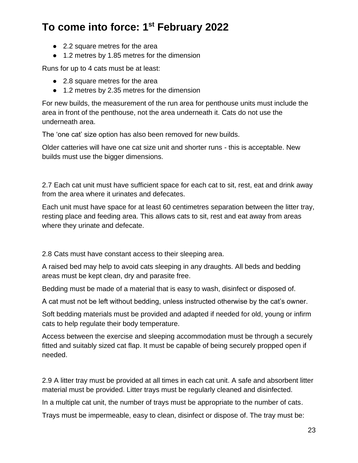- 2.2 square metres for the area
- 1.2 metres by 1.85 metres for the dimension

Runs for up to 4 cats must be at least:

- 2.8 square metres for the area
- 1.2 metres by 2.35 metres for the dimension

For new builds, the measurement of the run area for penthouse units must include the area in front of the penthouse, not the area underneath it. Cats do not use the underneath area.

The 'one cat' size option has also been removed for new builds.

Older catteries will have one cat size unit and shorter runs - this is acceptable. New builds must use the bigger dimensions.

2.7 Each cat unit must have sufficient space for each cat to sit, rest, eat and drink away from the area where it urinates and defecates.

Each unit must have space for at least 60 centimetres separation between the litter tray, resting place and feeding area. This allows cats to sit, rest and eat away from areas where they urinate and defecate.

2.8 Cats must have constant access to their sleeping area.

A raised bed may help to avoid cats sleeping in any draughts. All beds and bedding areas must be kept clean, dry and parasite free.

Bedding must be made of a material that is easy to wash, disinfect or disposed of.

A cat must not be left without bedding, unless instructed otherwise by the cat's owner.

Soft bedding materials must be provided and adapted if needed for old, young or infirm cats to help regulate their body temperature.

Access between the exercise and sleeping accommodation must be through a securely fitted and suitably sized cat flap. It must be capable of being securely propped open if needed.

2.9 A litter tray must be provided at all times in each cat unit. A safe and absorbent litter material must be provided. Litter trays must be regularly cleaned and disinfected.

In a multiple cat unit, the number of trays must be appropriate to the number of cats.

Trays must be impermeable, easy to clean, disinfect or dispose of. The tray must be: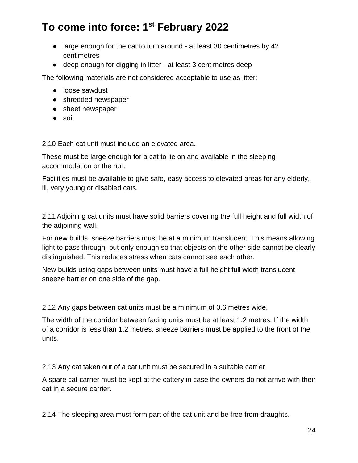- large enough for the cat to turn around at least 30 centimetres by 42 centimetres
- deep enough for digging in litter at least 3 centimetres deep

The following materials are not considered acceptable to use as litter:

- loose sawdust
- shredded newspaper
- sheet newspaper
- soil

2.10 Each cat unit must include an elevated area.

These must be large enough for a cat to lie on and available in the sleeping accommodation or the run.

Facilities must be available to give safe, easy access to elevated areas for any elderly, ill, very young or disabled cats.

2.11Adjoining cat units must have solid barriers covering the full height and full width of the adjoining wall.

For new builds, sneeze barriers must be at a minimum translucent. This means allowing light to pass through, but only enough so that objects on the other side cannot be clearly distinguished. This reduces stress when cats cannot see each other.

New builds using gaps between units must have a full height full width translucent sneeze barrier on one side of the gap.

2.12 Any gaps between cat units must be a minimum of 0.6 metres wide.

The width of the corridor between facing units must be at least 1.2 metres. If the width of a corridor is less than 1.2 metres, sneeze barriers must be applied to the front of the units.

2.13 Any cat taken out of a cat unit must be secured in a suitable carrier.

A spare cat carrier must be kept at the cattery in case the owners do not arrive with their cat in a secure carrier.

2.14 The sleeping area must form part of the cat unit and be free from draughts.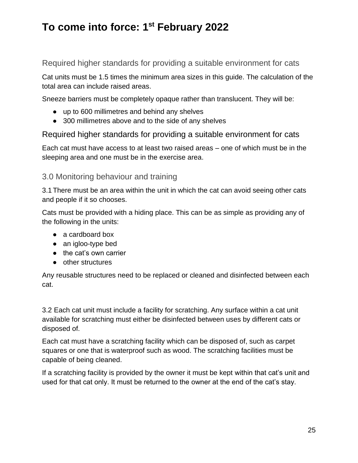#### Required higher standards for providing a suitable environment for cats

Cat units must be 1.5 times the minimum area sizes in this guide. The calculation of the total area can include raised areas.

Sneeze barriers must be completely opaque rather than translucent. They will be:

- up to 600 millimetres and behind any shelves
- 300 millimetres above and to the side of any shelves

Required higher standards for providing a suitable environment for cats

Each cat must have access to at least two raised areas – one of which must be in the sleeping area and one must be in the exercise area.

#### 3.0 Monitoring behaviour and training

3.1 There must be an area within the unit in which the cat can avoid seeing other cats and people if it so chooses.

Cats must be provided with a hiding place. This can be as simple as providing any of the following in the units:

- a cardboard box
- an igloo-type bed
- the cat's own carrier
- other structures

Any reusable structures need to be replaced or cleaned and disinfected between each cat.

3.2 Each cat unit must include a facility for scratching. Any surface within a cat unit available for scratching must either be disinfected between uses by different cats or disposed of.

Each cat must have a scratching facility which can be disposed of, such as carpet squares or one that is waterproof such as wood. The scratching facilities must be capable of being cleaned.

If a scratching facility is provided by the owner it must be kept within that cat's unit and used for that cat only. It must be returned to the owner at the end of the cat's stay.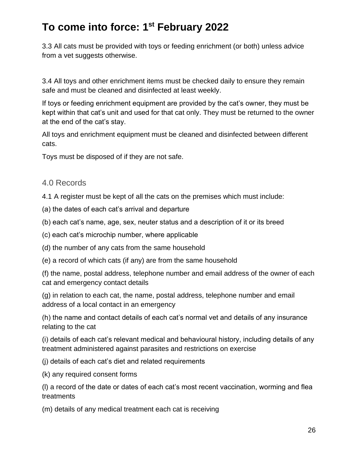3.3 All cats must be provided with toys or feeding enrichment (or both) unless advice from a vet suggests otherwise.

3.4 All toys and other enrichment items must be checked daily to ensure they remain safe and must be cleaned and disinfected at least weekly.

If toys or feeding enrichment equipment are provided by the cat's owner, they must be kept within that cat's unit and used for that cat only. They must be returned to the owner at the end of the cat's stay.

All toys and enrichment equipment must be cleaned and disinfected between different cats.

Toys must be disposed of if they are not safe.

#### 4.0 Records

4.1 A register must be kept of all the cats on the premises which must include:

- (a) the dates of each cat's arrival and departure
- (b) each cat's name, age, sex, neuter status and a description of it or its breed
- (c) each cat's microchip number, where applicable
- (d) the number of any cats from the same household
- (e) a record of which cats (if any) are from the same household

(f) the name, postal address, telephone number and email address of the owner of each cat and emergency contact details

(g) in relation to each cat, the name, postal address, telephone number and email address of a local contact in an emergency

(h) the name and contact details of each cat's normal vet and details of any insurance relating to the cat

(i) details of each cat's relevant medical and behavioural history, including details of any treatment administered against parasites and restrictions on exercise

- (j) details of each cat's diet and related requirements
- (k) any required consent forms

(l) a record of the date or dates of each cat's most recent vaccination, worming and flea treatments

(m) details of any medical treatment each cat is receiving